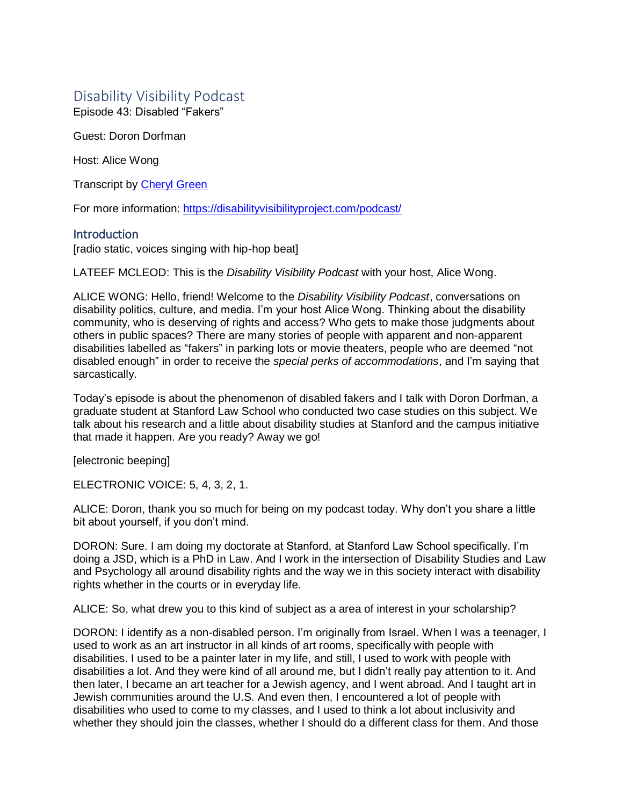# Disability Visibility Podcast

Episode 43: Disabled "Fakers"

Guest: Doron Dorfman

Host: Alice Wong

Transcript by [Cheryl Green](http://whoamitostopit.com/)

For more information: <https://disabilityvisibilityproject.com/podcast/>

# **Introduction**

[radio static, voices singing with hip-hop beat]

LATEEF MCLEOD: This is the *Disability Visibility Podcast* with your host, Alice Wong.

ALICE WONG: Hello, friend! Welcome to the *Disability Visibility Podcast*, conversations on disability politics, culture, and media. I'm your host Alice Wong. Thinking about the disability community, who is deserving of rights and access? Who gets to make those judgments about others in public spaces? There are many stories of people with apparent and non-apparent disabilities labelled as "fakers" in parking lots or movie theaters, people who are deemed "not disabled enough" in order to receive the *special perks of accommodations*, and I'm saying that sarcastically.

Today's episode is about the phenomenon of disabled fakers and I talk with Doron Dorfman, a graduate student at Stanford Law School who conducted two case studies on this subject. We talk about his research and a little about disability studies at Stanford and the campus initiative that made it happen. Are you ready? Away we go!

[electronic beeping]

ELECTRONIC VOICE: 5, 4, 3, 2, 1.

ALICE: Doron, thank you so much for being on my podcast today. Why don't you share a little bit about yourself, if you don't mind.

DORON: Sure. I am doing my doctorate at Stanford, at Stanford Law School specifically. I'm doing a JSD, which is a PhD in Law. And I work in the intersection of Disability Studies and Law and Psychology all around disability rights and the way we in this society interact with disability rights whether in the courts or in everyday life.

ALICE: So, what drew you to this kind of subject as a area of interest in your scholarship?

DORON: I identify as a non-disabled person. I'm originally from Israel. When I was a teenager, I used to work as an art instructor in all kinds of art rooms, specifically with people with disabilities. I used to be a painter later in my life, and still, I used to work with people with disabilities a lot. And they were kind of all around me, but I didn't really pay attention to it. And then later, I became an art teacher for a Jewish agency, and I went abroad. And I taught art in Jewish communities around the U.S. And even then, I encountered a lot of people with disabilities who used to come to my classes, and I used to think a lot about inclusivity and whether they should join the classes, whether I should do a different class for them. And those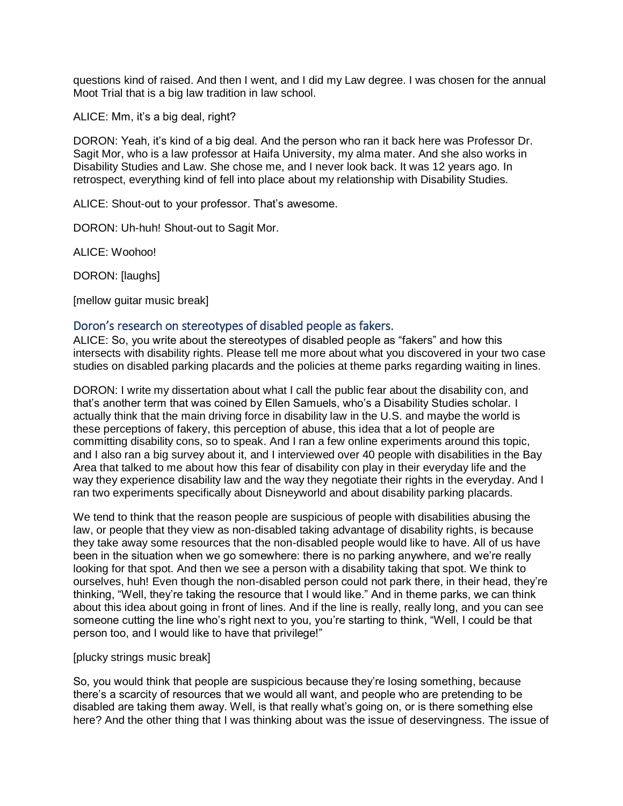questions kind of raised. And then I went, and I did my Law degree. I was chosen for the annual Moot Trial that is a big law tradition in law school.

ALICE: Mm, it's a big deal, right?

DORON: Yeah, it's kind of a big deal. And the person who ran it back here was Professor Dr. Sagit Mor, who is a law professor at Haifa University, my alma mater. And she also works in Disability Studies and Law. She chose me, and I never look back. It was 12 years ago. In retrospect, everything kind of fell into place about my relationship with Disability Studies.

ALICE: Shout-out to your professor. That's awesome.

DORON: Uh-huh! Shout-out to Sagit Mor.

ALICE: Woohoo!

DORON: [laughs]

[mellow guitar music break]

#### Doron's research on stereotypes of disabled people as fakers.

ALICE: So, you write about the stereotypes of disabled people as "fakers" and how this intersects with disability rights. Please tell me more about what you discovered in your two case studies on disabled parking placards and the policies at theme parks regarding waiting in lines.

DORON: I write my dissertation about what I call the public fear about the disability con, and that's another term that was coined by Ellen Samuels, who's a Disability Studies scholar. I actually think that the main driving force in disability law in the U.S. and maybe the world is these perceptions of fakery, this perception of abuse, this idea that a lot of people are committing disability cons, so to speak. And I ran a few online experiments around this topic, and I also ran a big survey about it, and I interviewed over 40 people with disabilities in the Bay Area that talked to me about how this fear of disability con play in their everyday life and the way they experience disability law and the way they negotiate their rights in the everyday. And I ran two experiments specifically about Disneyworld and about disability parking placards.

We tend to think that the reason people are suspicious of people with disabilities abusing the law, or people that they view as non-disabled taking advantage of disability rights, is because they take away some resources that the non-disabled people would like to have. All of us have been in the situation when we go somewhere: there is no parking anywhere, and we're really looking for that spot. And then we see a person with a disability taking that spot. We think to ourselves, huh! Even though the non-disabled person could not park there, in their head, they're thinking, "Well, they're taking the resource that I would like." And in theme parks, we can think about this idea about going in front of lines. And if the line is really, really long, and you can see someone cutting the line who's right next to you, you're starting to think, "Well, I could be that person too, and I would like to have that privilege!"

#### [plucky strings music break]

So, you would think that people are suspicious because they're losing something, because there's a scarcity of resources that we would all want, and people who are pretending to be disabled are taking them away. Well, is that really what's going on, or is there something else here? And the other thing that I was thinking about was the issue of deservingness. The issue of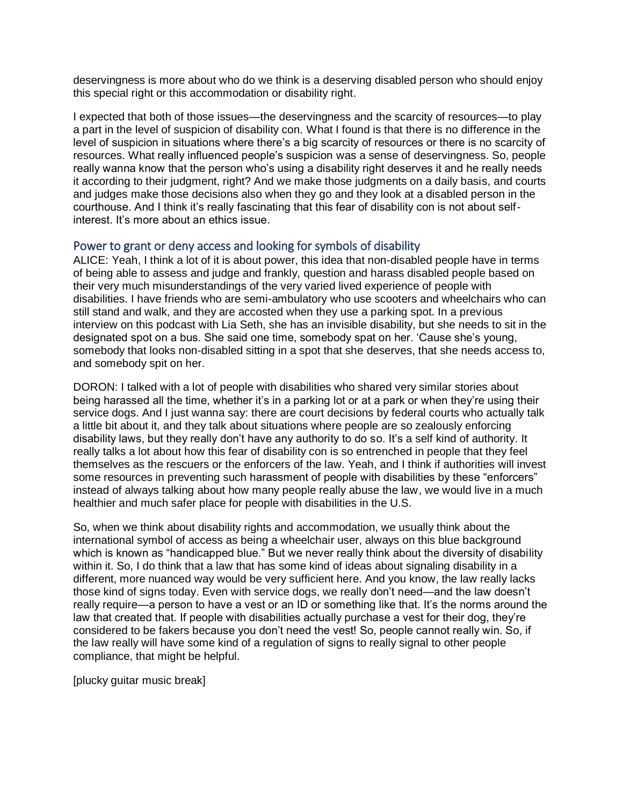deservingness is more about who do we think is a deserving disabled person who should enjoy this special right or this accommodation or disability right.

I expected that both of those issues—the deservingness and the scarcity of resources—to play a part in the level of suspicion of disability con. What I found is that there is no difference in the level of suspicion in situations where there's a big scarcity of resources or there is no scarcity of resources. What really influenced people's suspicion was a sense of deservingness. So, people really wanna know that the person who's using a disability right deserves it and he really needs it according to their judgment, right? And we make those judgments on a daily basis, and courts and judges make those decisions also when they go and they look at a disabled person in the courthouse. And I think it's really fascinating that this fear of disability con is not about selfinterest. It's more about an ethics issue.

# Power to grant or deny access and looking for symbols of disability

ALICE: Yeah, I think a lot of it is about power, this idea that non-disabled people have in terms of being able to assess and judge and frankly, question and harass disabled people based on their very much misunderstandings of the very varied lived experience of people with disabilities. I have friends who are semi-ambulatory who use scooters and wheelchairs who can still stand and walk, and they are accosted when they use a parking spot. In a previous interview on this podcast with Lia Seth, she has an invisible disability, but she needs to sit in the designated spot on a bus. She said one time, somebody spat on her. 'Cause she's young, somebody that looks non-disabled sitting in a spot that she deserves, that she needs access to, and somebody spit on her.

DORON: I talked with a lot of people with disabilities who shared very similar stories about being harassed all the time, whether it's in a parking lot or at a park or when they're using their service dogs. And I just wanna say: there are court decisions by federal courts who actually talk a little bit about it, and they talk about situations where people are so zealously enforcing disability laws, but they really don't have any authority to do so. It's a self kind of authority. It really talks a lot about how this fear of disability con is so entrenched in people that they feel themselves as the rescuers or the enforcers of the law. Yeah, and I think if authorities will invest some resources in preventing such harassment of people with disabilities by these "enforcers" instead of always talking about how many people really abuse the law, we would live in a much healthier and much safer place for people with disabilities in the U.S.

So, when we think about disability rights and accommodation, we usually think about the international symbol of access as being a wheelchair user, always on this blue background which is known as "handicapped blue." But we never really think about the diversity of disability within it. So, I do think that a law that has some kind of ideas about signaling disability in a different, more nuanced way would be very sufficient here. And you know, the law really lacks those kind of signs today. Even with service dogs, we really don't need—and the law doesn't really require—a person to have a vest or an ID or something like that. It's the norms around the law that created that. If people with disabilities actually purchase a vest for their dog, they're considered to be fakers because you don't need the vest! So, people cannot really win. So, if the law really will have some kind of a regulation of signs to really signal to other people compliance, that might be helpful.

[plucky guitar music break]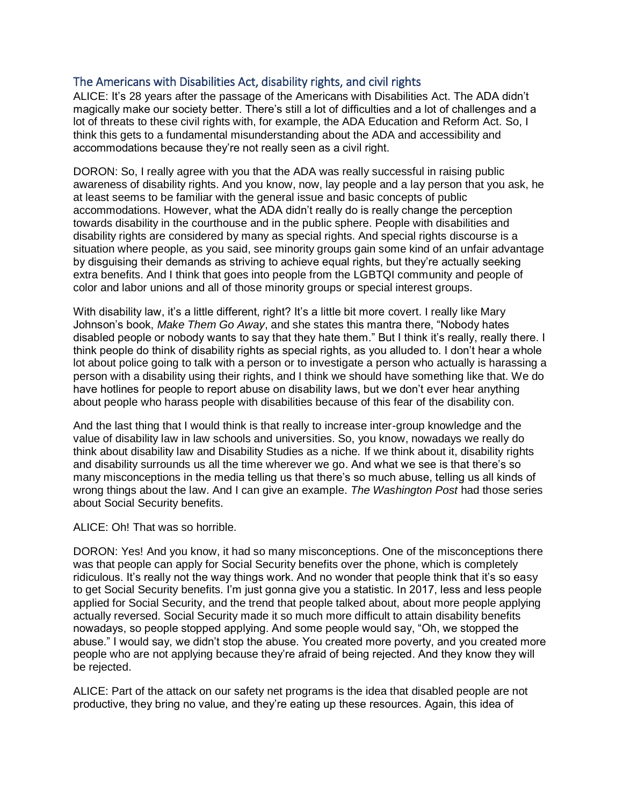# The Americans with Disabilities Act, disability rights, and civil rights

ALICE: It's 28 years after the passage of the Americans with Disabilities Act. The ADA didn't magically make our society better. There's still a lot of difficulties and a lot of challenges and a lot of threats to these civil rights with, for example, the ADA Education and Reform Act. So, I think this gets to a fundamental misunderstanding about the ADA and accessibility and accommodations because they're not really seen as a civil right.

DORON: So, I really agree with you that the ADA was really successful in raising public awareness of disability rights. And you know, now, lay people and a lay person that you ask, he at least seems to be familiar with the general issue and basic concepts of public accommodations. However, what the ADA didn't really do is really change the perception towards disability in the courthouse and in the public sphere. People with disabilities and disability rights are considered by many as special rights. And special rights discourse is a situation where people, as you said, see minority groups gain some kind of an unfair advantage by disguising their demands as striving to achieve equal rights, but they're actually seeking extra benefits. And I think that goes into people from the LGBTQI community and people of color and labor unions and all of those minority groups or special interest groups.

With disability law, it's a little different, right? It's a little bit more covert. I really like Mary Johnson's book, *Make Them Go Away*, and she states this mantra there, "Nobody hates disabled people or nobody wants to say that they hate them." But I think it's really, really there. I think people do think of disability rights as special rights, as you alluded to. I don't hear a whole lot about police going to talk with a person or to investigate a person who actually is harassing a person with a disability using their rights, and I think we should have something like that. We do have hotlines for people to report abuse on disability laws, but we don't ever hear anything about people who harass people with disabilities because of this fear of the disability con.

And the last thing that I would think is that really to increase inter-group knowledge and the value of disability law in law schools and universities. So, you know, nowadays we really do think about disability law and Disability Studies as a niche. If we think about it, disability rights and disability surrounds us all the time wherever we go. And what we see is that there's so many misconceptions in the media telling us that there's so much abuse, telling us all kinds of wrong things about the law. And I can give an example. *The Washington Post* had those series about Social Security benefits.

ALICE: Oh! That was so horrible.

DORON: Yes! And you know, it had so many misconceptions. One of the misconceptions there was that people can apply for Social Security benefits over the phone, which is completely ridiculous. It's really not the way things work. And no wonder that people think that it's so easy to get Social Security benefits. I'm just gonna give you a statistic. In 2017, less and less people applied for Social Security, and the trend that people talked about, about more people applying actually reversed. Social Security made it so much more difficult to attain disability benefits nowadays, so people stopped applying. And some people would say, "Oh, we stopped the abuse." I would say, we didn't stop the abuse. You created more poverty, and you created more people who are not applying because they're afraid of being rejected. And they know they will be rejected.

ALICE: Part of the attack on our safety net programs is the idea that disabled people are not productive, they bring no value, and they're eating up these resources. Again, this idea of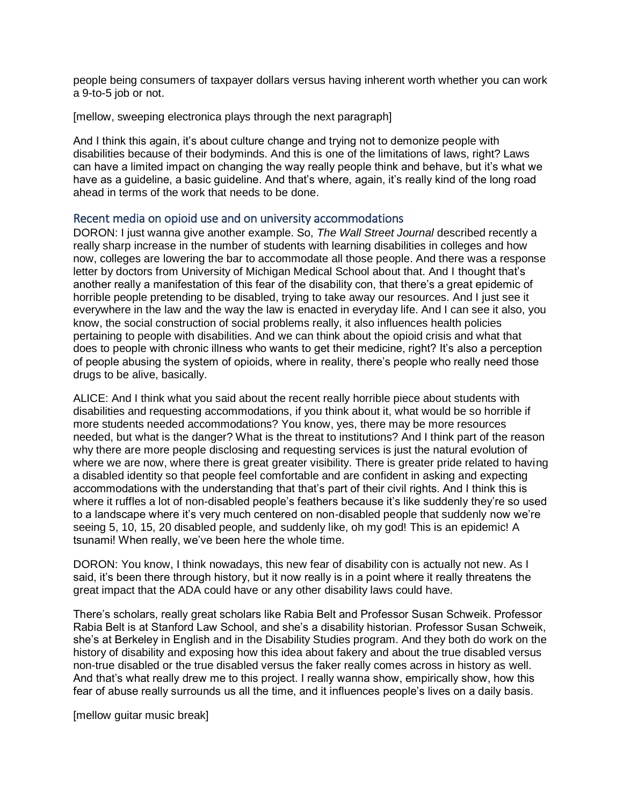people being consumers of taxpayer dollars versus having inherent worth whether you can work a 9-to-5 job or not.

[mellow, sweeping electronica plays through the next paragraph]

And I think this again, it's about culture change and trying not to demonize people with disabilities because of their bodyminds. And this is one of the limitations of laws, right? Laws can have a limited impact on changing the way really people think and behave, but it's what we have as a guideline, a basic guideline. And that's where, again, it's really kind of the long road ahead in terms of the work that needs to be done.

# Recent media on opioid use and on university accommodations

DORON: I just wanna give another example. So, *The Wall Street Journal* described recently a really sharp increase in the number of students with learning disabilities in colleges and how now, colleges are lowering the bar to accommodate all those people. And there was a response letter by doctors from University of Michigan Medical School about that. And I thought that's another really a manifestation of this fear of the disability con, that there's a great epidemic of horrible people pretending to be disabled, trying to take away our resources. And I just see it everywhere in the law and the way the law is enacted in everyday life. And I can see it also, you know, the social construction of social problems really, it also influences health policies pertaining to people with disabilities. And we can think about the opioid crisis and what that does to people with chronic illness who wants to get their medicine, right? It's also a perception of people abusing the system of opioids, where in reality, there's people who really need those drugs to be alive, basically.

ALICE: And I think what you said about the recent really horrible piece about students with disabilities and requesting accommodations, if you think about it, what would be so horrible if more students needed accommodations? You know, yes, there may be more resources needed, but what is the danger? What is the threat to institutions? And I think part of the reason why there are more people disclosing and requesting services is just the natural evolution of where we are now, where there is great greater visibility. There is greater pride related to having a disabled identity so that people feel comfortable and are confident in asking and expecting accommodations with the understanding that that's part of their civil rights. And I think this is where it ruffles a lot of non-disabled people's feathers because it's like suddenly they're so used to a landscape where it's very much centered on non-disabled people that suddenly now we're seeing 5, 10, 15, 20 disabled people, and suddenly like, oh my god! This is an epidemic! A tsunami! When really, we've been here the whole time.

DORON: You know, I think nowadays, this new fear of disability con is actually not new. As I said, it's been there through history, but it now really is in a point where it really threatens the great impact that the ADA could have or any other disability laws could have.

There's scholars, really great scholars like Rabia Belt and Professor Susan Schweik. Professor Rabia Belt is at Stanford Law School, and she's a disability historian. Professor Susan Schweik, she's at Berkeley in English and in the Disability Studies program. And they both do work on the history of disability and exposing how this idea about fakery and about the true disabled versus non-true disabled or the true disabled versus the faker really comes across in history as well. And that's what really drew me to this project. I really wanna show, empirically show, how this fear of abuse really surrounds us all the time, and it influences people's lives on a daily basis.

[mellow guitar music break]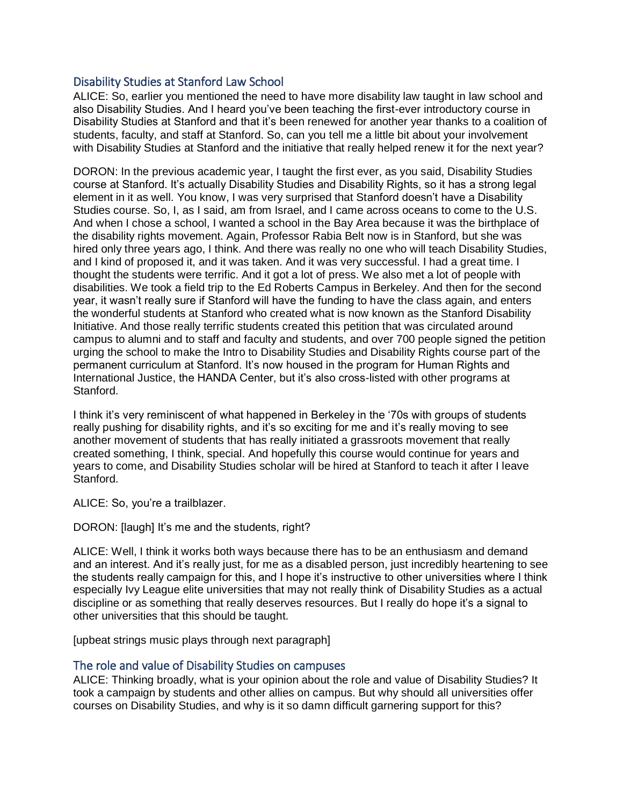# Disability Studies at Stanford Law School

ALICE: So, earlier you mentioned the need to have more disability law taught in law school and also Disability Studies. And I heard you've been teaching the first-ever introductory course in Disability Studies at Stanford and that it's been renewed for another year thanks to a coalition of students, faculty, and staff at Stanford. So, can you tell me a little bit about your involvement with Disability Studies at Stanford and the initiative that really helped renew it for the next year?

DORON: In the previous academic year, I taught the first ever, as you said, Disability Studies course at Stanford. It's actually Disability Studies and Disability Rights, so it has a strong legal element in it as well. You know, I was very surprised that Stanford doesn't have a Disability Studies course. So, I, as I said, am from Israel, and I came across oceans to come to the U.S. And when I chose a school, I wanted a school in the Bay Area because it was the birthplace of the disability rights movement. Again, Professor Rabia Belt now is in Stanford, but she was hired only three years ago, I think. And there was really no one who will teach Disability Studies, and I kind of proposed it, and it was taken. And it was very successful. I had a great time. I thought the students were terrific. And it got a lot of press. We also met a lot of people with disabilities. We took a field trip to the Ed Roberts Campus in Berkeley. And then for the second year, it wasn't really sure if Stanford will have the funding to have the class again, and enters the wonderful students at Stanford who created what is now known as the Stanford Disability Initiative. And those really terrific students created this petition that was circulated around campus to alumni and to staff and faculty and students, and over 700 people signed the petition urging the school to make the Intro to Disability Studies and Disability Rights course part of the permanent curriculum at Stanford. It's now housed in the program for Human Rights and International Justice, the HANDA Center, but it's also cross-listed with other programs at Stanford.

I think it's very reminiscent of what happened in Berkeley in the '70s with groups of students really pushing for disability rights, and it's so exciting for me and it's really moving to see another movement of students that has really initiated a grassroots movement that really created something, I think, special. And hopefully this course would continue for years and years to come, and Disability Studies scholar will be hired at Stanford to teach it after I leave Stanford.

ALICE: So, you're a trailblazer.

DORON: [laugh] It's me and the students, right?

ALICE: Well, I think it works both ways because there has to be an enthusiasm and demand and an interest. And it's really just, for me as a disabled person, just incredibly heartening to see the students really campaign for this, and I hope it's instructive to other universities where I think especially Ivy League elite universities that may not really think of Disability Studies as a actual discipline or as something that really deserves resources. But I really do hope it's a signal to other universities that this should be taught.

[upbeat strings music plays through next paragraph]

# The role and value of Disability Studies on campuses

ALICE: Thinking broadly, what is your opinion about the role and value of Disability Studies? It took a campaign by students and other allies on campus. But why should all universities offer courses on Disability Studies, and why is it so damn difficult garnering support for this?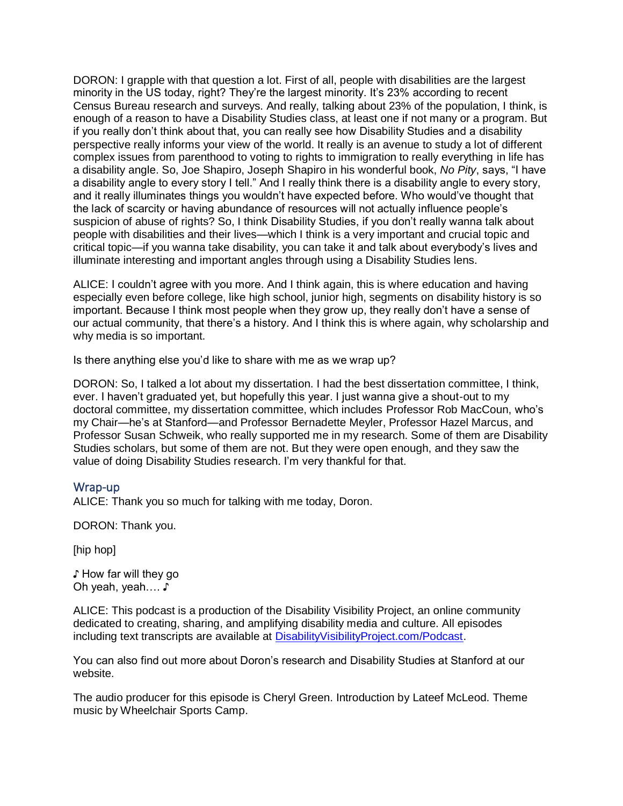DORON: I grapple with that question a lot. First of all, people with disabilities are the largest minority in the US today, right? They're the largest minority. It's 23% according to recent Census Bureau research and surveys. And really, talking about 23% of the population, I think, is enough of a reason to have a Disability Studies class, at least one if not many or a program. But if you really don't think about that, you can really see how Disability Studies and a disability perspective really informs your view of the world. It really is an avenue to study a lot of different complex issues from parenthood to voting to rights to immigration to really everything in life has a disability angle. So, Joe Shapiro, Joseph Shapiro in his wonderful book, *No Pity*, says, "I have a disability angle to every story I tell." And I really think there is a disability angle to every story, and it really illuminates things you wouldn't have expected before. Who would've thought that the lack of scarcity or having abundance of resources will not actually influence people's suspicion of abuse of rights? So, I think Disability Studies, if you don't really wanna talk about people with disabilities and their lives—which I think is a very important and crucial topic and critical topic—if you wanna take disability, you can take it and talk about everybody's lives and illuminate interesting and important angles through using a Disability Studies lens.

ALICE: I couldn't agree with you more. And I think again, this is where education and having especially even before college, like high school, junior high, segments on disability history is so important. Because I think most people when they grow up, they really don't have a sense of our actual community, that there's a history. And I think this is where again, why scholarship and why media is so important.

Is there anything else you'd like to share with me as we wrap up?

DORON: So, I talked a lot about my dissertation. I had the best dissertation committee, I think, ever. I haven't graduated yet, but hopefully this year. I just wanna give a shout-out to my doctoral committee, my dissertation committee, which includes Professor Rob MacCoun, who's my Chair—he's at Stanford—and Professor Bernadette Meyler, Professor Hazel Marcus, and Professor Susan Schweik, who really supported me in my research. Some of them are Disability Studies scholars, but some of them are not. But they were open enough, and they saw the value of doing Disability Studies research. I'm very thankful for that.

# Wrap-up

ALICE: Thank you so much for talking with me today, Doron.

DORON: Thank you.

[hip hop]

♪ How far will they go Oh yeah, yeah…. ♪

ALICE: This podcast is a production of the Disability Visibility Project, an online community dedicated to creating, sharing, and amplifying disability media and culture. All episodes including text transcripts are available at [DisabilityVisibilityProject.com/Podcast.](https://disabilityvisibilityproject.com/Podcast/)

You can also find out more about Doron's research and Disability Studies at Stanford at our website.

The audio producer for this episode is Cheryl Green. Introduction by Lateef McLeod. Theme music by Wheelchair Sports Camp.